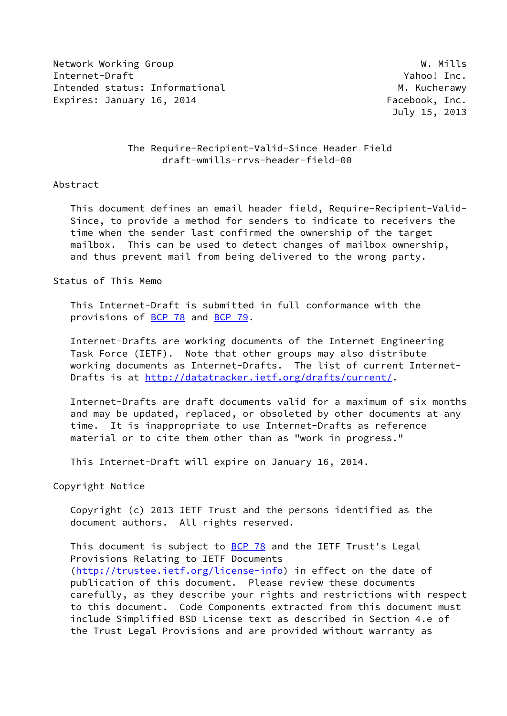Network Working Group Network W. Mills Internet-Draft Yahoo! Inc. Intended status: Informational M. Kucherawy Expires: January 16, 2014 **Facebook, Inc.** 

July 15, 2013

# The Require-Recipient-Valid-Since Header Field draft-wmills-rrvs-header-field-00

## Abstract

 This document defines an email header field, Require-Recipient-Valid- Since, to provide a method for senders to indicate to receivers the time when the sender last confirmed the ownership of the target mailbox. This can be used to detect changes of mailbox ownership, and thus prevent mail from being delivered to the wrong party.

Status of This Memo

 This Internet-Draft is submitted in full conformance with the provisions of [BCP 78](https://datatracker.ietf.org/doc/pdf/bcp78) and [BCP 79](https://datatracker.ietf.org/doc/pdf/bcp79).

 Internet-Drafts are working documents of the Internet Engineering Task Force (IETF). Note that other groups may also distribute working documents as Internet-Drafts. The list of current Internet Drafts is at<http://datatracker.ietf.org/drafts/current/>.

 Internet-Drafts are draft documents valid for a maximum of six months and may be updated, replaced, or obsoleted by other documents at any time. It is inappropriate to use Internet-Drafts as reference material or to cite them other than as "work in progress."

This Internet-Draft will expire on January 16, 2014.

Copyright Notice

 Copyright (c) 2013 IETF Trust and the persons identified as the document authors. All rights reserved.

This document is subject to [BCP 78](https://datatracker.ietf.org/doc/pdf/bcp78) and the IETF Trust's Legal Provisions Relating to IETF Documents [\(http://trustee.ietf.org/license-info](http://trustee.ietf.org/license-info)) in effect on the date of publication of this document. Please review these documents carefully, as they describe your rights and restrictions with respect to this document. Code Components extracted from this document must include Simplified BSD License text as described in Section 4.e of the Trust Legal Provisions and are provided without warranty as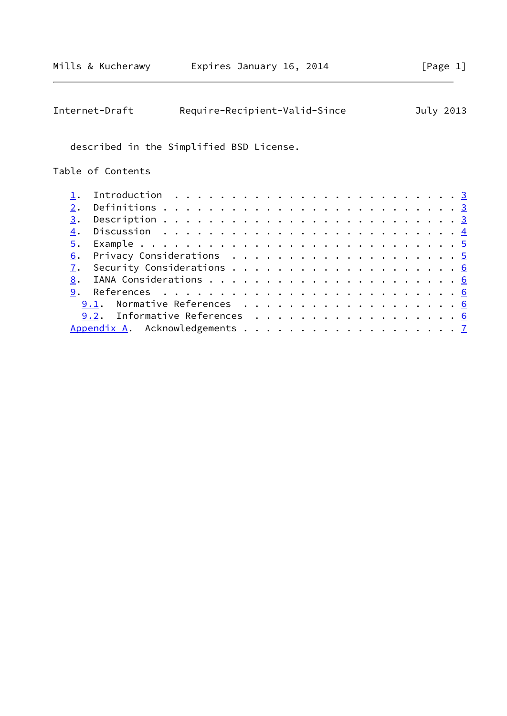| Require-Recipient-Valid-Since<br>Internet-Draft                                            |  |  | July 2013 |
|--------------------------------------------------------------------------------------------|--|--|-----------|
| described in the Simplified BSD License.                                                   |  |  |           |
| Table of Contents                                                                          |  |  |           |
| Introduction $\ldots \ldots \ldots \ldots \ldots \ldots \ldots \ldots \ldots \ldots$<br>1. |  |  |           |
| 2.                                                                                         |  |  |           |
| 3.                                                                                         |  |  |           |
| $\overline{4}$ .                                                                           |  |  |           |
| $\overline{5}$ .                                                                           |  |  |           |
| 6.                                                                                         |  |  |           |
| $\overline{1}$ .                                                                           |  |  |           |
| 8.                                                                                         |  |  |           |
| 9.                                                                                         |  |  |           |
|                                                                                            |  |  |           |
| 9.2. Informative References 6                                                              |  |  |           |
|                                                                                            |  |  |           |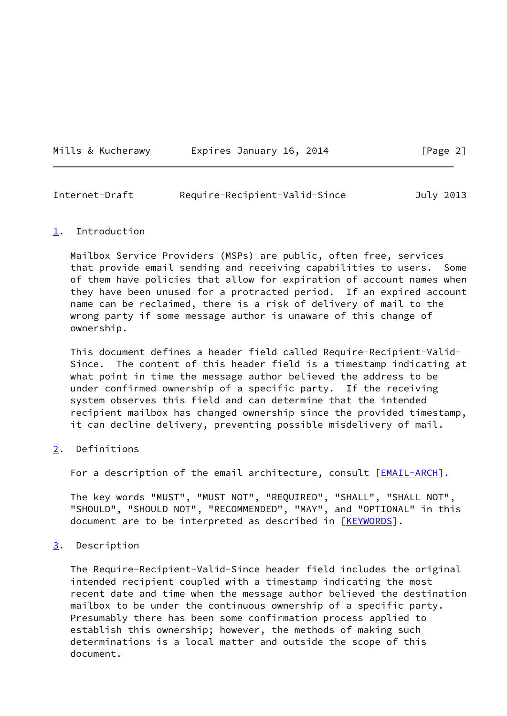|  | Mills & Kucherawy |
|--|-------------------|
|  |                   |

## Expires January 16, 2014 [Page 2]

<span id="page-2-1"></span>

| Internet-Draft | Require-Recipient-Valid-Since | July 2013 |
|----------------|-------------------------------|-----------|
|                |                               |           |

### <span id="page-2-0"></span>[1](#page-2-0). Introduction

 Mailbox Service Providers (MSPs) are public, often free, services that provide email sending and receiving capabilities to users. Some of them have policies that allow for expiration of account names when they have been unused for a protracted period. If an expired account name can be reclaimed, there is a risk of delivery of mail to the wrong party if some message author is unaware of this change of ownership.

 This document defines a header field called Require-Recipient-Valid- Since. The content of this header field is a timestamp indicating at what point in time the message author believed the address to be under confirmed ownership of a specific party. If the receiving system observes this field and can determine that the intended recipient mailbox has changed ownership since the provided timestamp, it can decline delivery, preventing possible misdelivery of mail.

# <span id="page-2-2"></span>[2](#page-2-2). Definitions

For a description of the email architecture, consult [\[EMAIL-ARCH\]](#page-6-5).

 The key words "MUST", "MUST NOT", "REQUIRED", "SHALL", "SHALL NOT", "SHOULD", "SHOULD NOT", "RECOMMENDED", "MAY", and "OPTIONAL" in this document are to be interpreted as described in [\[KEYWORDS](#page-6-6)].

# <span id="page-2-3"></span>[3](#page-2-3). Description

 The Require-Recipient-Valid-Since header field includes the original intended recipient coupled with a timestamp indicating the most recent date and time when the message author believed the destination mailbox to be under the continuous ownership of a specific party. Presumably there has been some confirmation process applied to establish this ownership; however, the methods of making such determinations is a local matter and outside the scope of this document.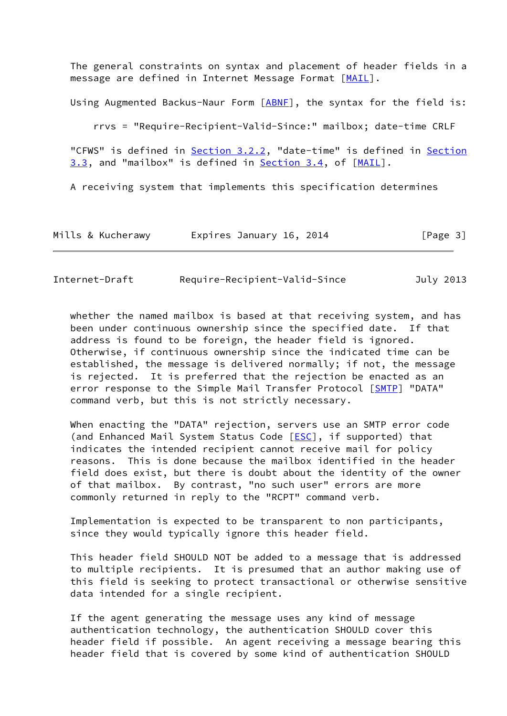The general constraints on syntax and placement of header fields in a message are defined in Internet Message Format [\[MAIL](#page-6-7)].

Using Augmented Backus-Naur Form [ABNE], the syntax for the field is:

rrvs = "Require-Recipient-Valid-Since:" mailbox; date-time CRLF

"CFWS" is defined in **Section 3.2.2**, "date-time" is defined in **Section** 3.3, and "mailbox" is defined in Section 3.4, of [\[MAIL](#page-6-7)].

A receiving system that implements this specification determines

| Mills & Kucherawy<br>Expires January 16, 2014 | [Page 3] |
|-----------------------------------------------|----------|
|-----------------------------------------------|----------|

<span id="page-3-0"></span>Internet-Draft Require-Recipient-Valid-Since July 2013

 whether the named mailbox is based at that receiving system, and has been under continuous ownership since the specified date. If that address is found to be foreign, the header field is ignored. Otherwise, if continuous ownership since the indicated time can be established, the message is delivered normally; if not, the message is rejected. It is preferred that the rejection be enacted as an error response to the Simple Mail Transfer Protocol [\[SMTP](#page-6-9)] "DATA" command verb, but this is not strictly necessary.

 When enacting the "DATA" rejection, servers use an SMTP error code (and Enhanced Mail System Status Code [[ESC](#page-6-10)], if supported) that indicates the intended recipient cannot receive mail for policy reasons. This is done because the mailbox identified in the header field does exist, but there is doubt about the identity of the owner of that mailbox. By contrast, "no such user" errors are more commonly returned in reply to the "RCPT" command verb.

 Implementation is expected to be transparent to non participants, since they would typically ignore this header field.

 This header field SHOULD NOT be added to a message that is addressed to multiple recipients. It is presumed that an author making use of this field is seeking to protect transactional or otherwise sensitive data intended for a single recipient.

 If the agent generating the message uses any kind of message authentication technology, the authentication SHOULD cover this header field if possible. An agent receiving a message bearing this header field that is covered by some kind of authentication SHOULD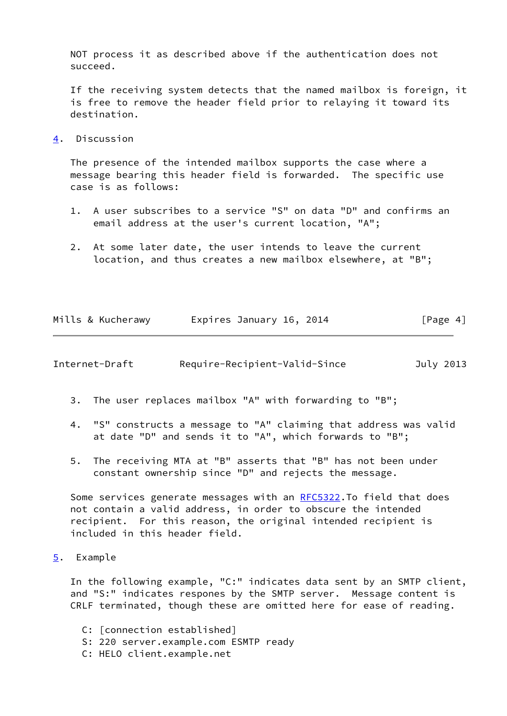NOT process it as described above if the authentication does not succeed.

 If the receiving system detects that the named mailbox is foreign, it is free to remove the header field prior to relaying it toward its destination.

<span id="page-4-0"></span>[4](#page-4-0). Discussion

 The presence of the intended mailbox supports the case where a message bearing this header field is forwarded. The specific use case is as follows:

- 1. A user subscribes to a service "S" on data "D" and confirms an email address at the user's current location, "A";
- 2. At some later date, the user intends to leave the current location, and thus creates a new mailbox elsewhere, at "B";

|  | Mills & Kucherawy |  | Expires January 16, 2014 |  | [Page 4] |  |
|--|-------------------|--|--------------------------|--|----------|--|
|  |                   |  |                          |  |          |  |

<span id="page-4-2"></span>Internet-Draft Require-Recipient-Valid-Since July 2013

- 3. The user replaces mailbox "A" with forwarding to "B";
- 4. "S" constructs a message to "A" claiming that address was valid at date "D" and sends it to "A", which forwards to "B";
- 5. The receiving MTA at "B" asserts that "B" has not been under constant ownership since "D" and rejects the message.

Some services generate messages with an [RFC5322](https://datatracker.ietf.org/doc/pdf/rfc5322).To field that does not contain a valid address, in order to obscure the intended recipient. For this reason, the original intended recipient is included in this header field.

<span id="page-4-1"></span>[5](#page-4-1). Example

 In the following example, "C:" indicates data sent by an SMTP client, and "S:" indicates respones by the SMTP server. Message content is CRLF terminated, though these are omitted here for ease of reading.

- C: [connection established]
- S: 220 server.example.com ESMTP ready
- C: HELO client.example.net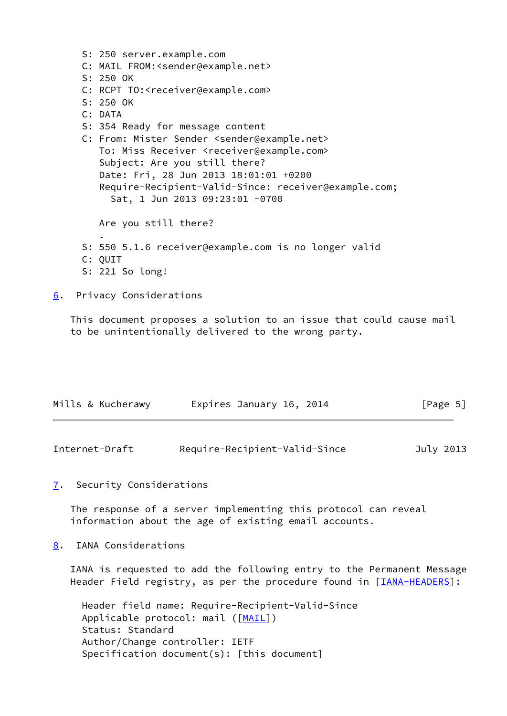S: 250 server.example.com C: MAIL FROM:<sender@example.net> S: 250 OK C: RCPT TO:<receiver@example.com> S: 250 OK C: DATA S: 354 Ready for message content C: From: Mister Sender <sender@example.net> To: Miss Receiver <receiver@example.com> Subject: Are you still there? Date: Fri, 28 Jun 2013 18:01:01 +0200 Require-Recipient-Valid-Since: receiver@example.com; Sat, 1 Jun 2013 09:23:01 -0700 Are you still there? . S: 550 5.1.6 receiver@example.com is no longer valid C: QUIT S: 221 So long! [6](#page-5-0). Privacy Considerations

<span id="page-5-0"></span> This document proposes a solution to an issue that could cause mail to be unintentionally delivered to the wrong party.

| Mills & Kucherawy | Expires January 16, 2014 | [Page 5] |
|-------------------|--------------------------|----------|
|                   |                          |          |

<span id="page-5-2"></span>

| Internet-Draft | Require-Recipient-Valid-Since | July 2013 |
|----------------|-------------------------------|-----------|
|----------------|-------------------------------|-----------|

<span id="page-5-1"></span>[7](#page-5-1). Security Considerations

 The response of a server implementing this protocol can reveal information about the age of existing email accounts.

<span id="page-5-3"></span>[8](#page-5-3). IANA Considerations

 IANA is requested to add the following entry to the Permanent Message Header Field registry, as per the procedure found in [\[IANA-HEADERS](#page-6-11)]:

 Header field name: Require-Recipient-Valid-Since Applicable protocol: mail ([\[MAIL](#page-6-7)]) Status: Standard Author/Change controller: IETF Specification document(s): [this document]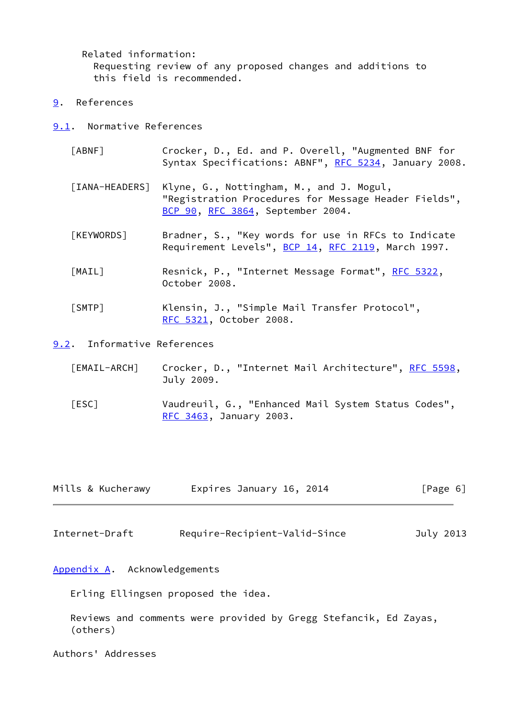Related information: Requesting review of any proposed changes and additions to this field is recommended.

- <span id="page-6-0"></span>[9](#page-6-0). References
- <span id="page-6-11"></span><span id="page-6-8"></span><span id="page-6-6"></span><span id="page-6-1"></span>[9.1](#page-6-1). Normative References
	- [ABNF] Crocker, D., Ed. and P. Overell, "Augmented BNF for Syntax Specifications: ABNF", [RFC 5234](https://datatracker.ietf.org/doc/pdf/rfc5234), January 2008.
	- [IANA-HEADERS] Klyne, G., Nottingham, M., and J. Mogul, "Registration Procedures for Message Header Fields", [BCP 90](https://datatracker.ietf.org/doc/pdf/bcp90), [RFC 3864](https://datatracker.ietf.org/doc/pdf/rfc3864), September 2004.
	- [KEYWORDS] Bradner, S., "Key words for use in RFCs to Indicate Requirement Levels", [BCP 14](https://datatracker.ietf.org/doc/pdf/bcp14), [RFC 2119](https://datatracker.ietf.org/doc/pdf/rfc2119), March 1997.
	- [MAIL] Resnick, P., "Internet Message Format", [RFC 5322](https://datatracker.ietf.org/doc/pdf/rfc5322), October 2008.
	- [SMTP] Klensin, J., "Simple Mail Transfer Protocol", [RFC 5321](https://datatracker.ietf.org/doc/pdf/rfc5321), October 2008.
- <span id="page-6-10"></span><span id="page-6-9"></span><span id="page-6-7"></span><span id="page-6-5"></span><span id="page-6-2"></span>[9.2](#page-6-2). Informative References
	- [EMAIL-ARCH] Crocker, D., "Internet Mail Architecture", [RFC 5598,](https://datatracker.ietf.org/doc/pdf/rfc5598) July 2009.
	- [ESC] Vaudreuil, G., "Enhanced Mail System Status Codes", [RFC 3463](https://datatracker.ietf.org/doc/pdf/rfc3463), January 2003.

| Mills & Kucherawy | Expires January 16, 2014 | [Page 6] |
|-------------------|--------------------------|----------|
|                   |                          |          |

<span id="page-6-4"></span>Internet-Draft Require-Recipient-Valid-Since July 2013

<span id="page-6-3"></span>[Appendix A.](#page-6-3) Acknowledgements

Erling Ellingsen proposed the idea.

 Reviews and comments were provided by Gregg Stefancik, Ed Zayas, (others)

Authors' Addresses